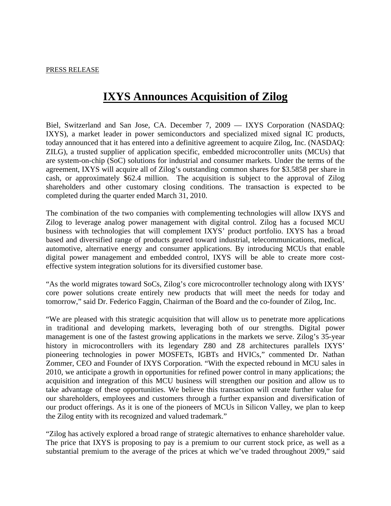# **IXYS Announces Acquisition of Zilog**

Biel, Switzerland and San Jose, CA. December 7, 2009 — IXYS Corporation (NASDAQ: IXYS), a market leader in power semiconductors and specialized mixed signal IC products, today announced that it has entered into a definitive agreement to acquire Zilog, Inc. (NASDAQ: ZILG), a trusted supplier of application specific, embedded microcontroller units (MCUs) that are system-on-chip (SoC) solutions for industrial and consumer markets. Under the terms of the agreement, IXYS will acquire all of Zilog's outstanding common shares for \$3.5858 per share in cash, or approximately \$62.4 million. The acquisition is subject to the approval of Zilog shareholders and other customary closing conditions. The transaction is expected to be completed during the quarter ended March 31, 2010.

The combination of the two companies with complementing technologies will allow IXYS and Zilog to leverage analog power management with digital control. Zilog has a focused MCU business with technologies that will complement IXYS' product portfolio. IXYS has a broad based and diversified range of products geared toward industrial, telecommunications, medical, automotive, alternative energy and consumer applications. By introducing MCUs that enable digital power management and embedded control, IXYS will be able to create more costeffective system integration solutions for its diversified customer base.

"As the world migrates toward SoCs, Zilog's core microcontroller technology along with IXYS' core power solutions create entirely new products that will meet the needs for today and tomorrow," said Dr. Federico Faggin, Chairman of the Board and the co-founder of Zilog, Inc.

"We are pleased with this strategic acquisition that will allow us to penetrate more applications in traditional and developing markets, leveraging both of our strengths. Digital power management is one of the fastest growing applications in the markets we serve. Zilog's 35-year history in microcontrollers with its legendary Z80 and Z8 architectures parallels IXYS' pioneering technologies in power MOSFETs, IGBTs and HVICs," commented Dr. Nathan Zommer, CEO and Founder of IXYS Corporation. "With the expected rebound in MCU sales in 2010, we anticipate a growth in opportunities for refined power control in many applications; the acquisition and integration of this MCU business will strengthen our position and allow us to take advantage of these opportunities. We believe this transaction will create further value for our shareholders, employees and customers through a further expansion and diversification of our product offerings. As it is one of the pioneers of MCUs in Silicon Valley, we plan to keep the Zilog entity with its recognized and valued trademark."

"Zilog has actively explored a broad range of strategic alternatives to enhance shareholder value. The price that IXYS is proposing to pay is a premium to our current stock price, as well as a substantial premium to the average of the prices at which we've traded throughout 2009," said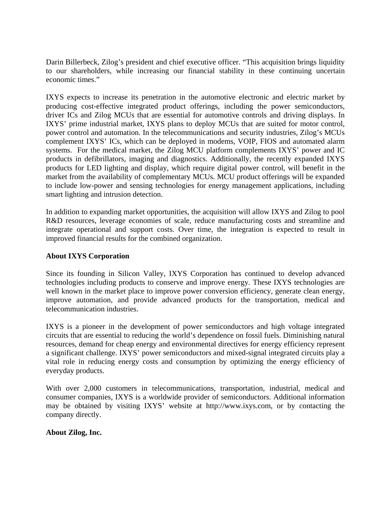Darin Billerbeck, Zilog's president and chief executive officer. "This acquisition brings liquidity to our shareholders, while increasing our financial stability in these continuing uncertain economic times."

IXYS expects to increase its penetration in the automotive electronic and electric market by producing cost-effective integrated product offerings, including the power semiconductors, driver ICs and Zilog MCUs that are essential for automotive controls and driving displays. In IXYS' prime industrial market, IXYS plans to deploy MCUs that are suited for motor control, power control and automation. In the telecommunications and security industries, Zilog's MCUs complement IXYS' ICs, which can be deployed in modems, VOIP, FIOS and automated alarm systems. For the medical market, the Zilog MCU platform complements IXYS' power and IC products in defibrillators, imaging and diagnostics. Additionally, the recently expanded IXYS products for LED lighting and display, which require digital power control, will benefit in the market from the availability of complementary MCUs. MCU product offerings will be expanded to include low-power and sensing technologies for energy management applications, including smart lighting and intrusion detection.

In addition to expanding market opportunities, the acquisition will allow IXYS and Zilog to pool R&D resources, leverage economies of scale, reduce manufacturing costs and streamline and integrate operational and support costs. Over time, the integration is expected to result in improved financial results for the combined organization.

### **About IXYS Corporation**

Since its founding in Silicon Valley, IXYS Corporation has continued to develop advanced technologies including products to conserve and improve energy. These IXYS technologies are well known in the market place to improve power conversion efficiency, generate clean energy, improve automation, and provide advanced products for the transportation, medical and telecommunication industries.

IXYS is a pioneer in the development of power semiconductors and high voltage integrated circuits that are essential to reducing the world's dependence on fossil fuels. Diminishing natural resources, demand for cheap energy and environmental directives for energy efficiency represent a significant challenge. IXYS' power semiconductors and mixed-signal integrated circuits play a vital role in reducing energy costs and consumption by optimizing the energy efficiency of everyday products.

With over 2,000 customers in telecommunications, transportation, industrial, medical and consumer companies, IXYS is a worldwide provider of semiconductors. Additional information may be obtained by visiting IXYS' website at http://www.ixys.com, or by contacting the company directly.

#### **About Zilog, Inc.**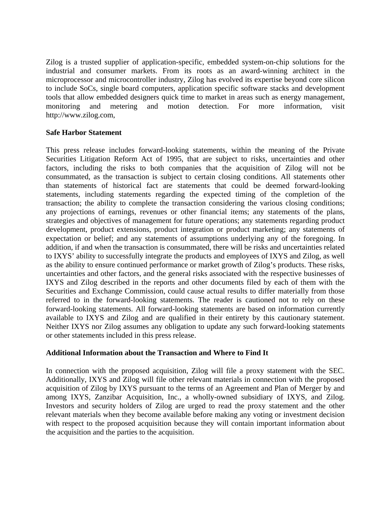Zilog is a trusted supplier of application-specific, embedded system-on-chip solutions for the industrial and consumer markets. From its roots as an award-winning architect in the microprocessor and microcontroller industry, Zilog has evolved its expertise beyond core silicon to include SoCs, single board computers, application specific software stacks and development tools that allow embedded designers quick time to market in areas such as energy management, monitoring and metering and motion detection. For more information, visit http://www.zilog.com,

## **Safe Harbor Statement**

This press release includes forward-looking statements, within the meaning of the Private Securities Litigation Reform Act of 1995, that are subject to risks, uncertainties and other factors, including the risks to both companies that the acquisition of Zilog will not be consummated, as the transaction is subject to certain closing conditions. All statements other than statements of historical fact are statements that could be deemed forward-looking statements, including statements regarding the expected timing of the completion of the transaction; the ability to complete the transaction considering the various closing conditions; any projections of earnings, revenues or other financial items; any statements of the plans, strategies and objectives of management for future operations; any statements regarding product development, product extensions, product integration or product marketing; any statements of expectation or belief; and any statements of assumptions underlying any of the foregoing. In addition, if and when the transaction is consummated, there will be risks and uncertainties related to IXYS' ability to successfully integrate the products and employees of IXYS and Zilog, as well as the ability to ensure continued performance or market growth of Zilog's products. These risks, uncertainties and other factors, and the general risks associated with the respective businesses of IXYS and Zilog described in the reports and other documents filed by each of them with the Securities and Exchange Commission, could cause actual results to differ materially from those referred to in the forward-looking statements. The reader is cautioned not to rely on these forward-looking statements. All forward-looking statements are based on information currently available to IXYS and Zilog and are qualified in their entirety by this cautionary statement. Neither IXYS nor Zilog assumes any obligation to update any such forward-looking statements or other statements included in this press release.

#### **Additional Information about the Transaction and Where to Find It**

In connection with the proposed acquisition, Zilog will file a proxy statement with the SEC. Additionally, IXYS and Zilog will file other relevant materials in connection with the proposed acquisition of Zilog by IXYS pursuant to the terms of an Agreement and Plan of Merger by and among IXYS, Zanzibar Acquisition, Inc., a wholly-owned subsidiary of IXYS, and Zilog. Investors and security holders of Zilog are urged to read the proxy statement and the other relevant materials when they become available before making any voting or investment decision with respect to the proposed acquisition because they will contain important information about the acquisition and the parties to the acquisition.